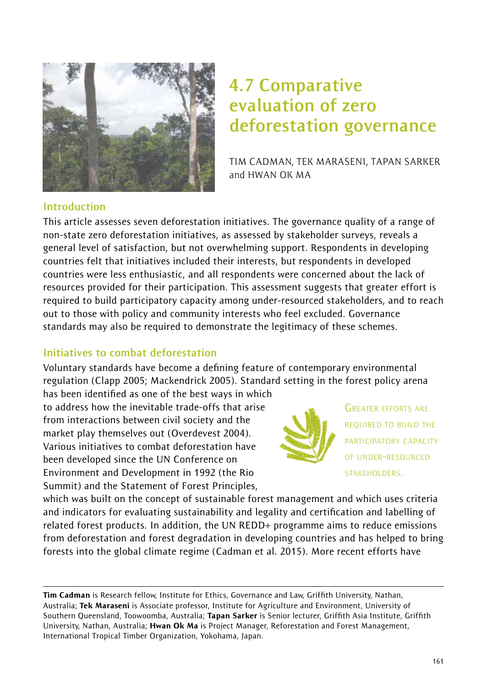

# **4.7 Comparative evaluation of zero deforestation governance**

TIM CADMAN, TEK MARASENI, TAPAN SARKER and HWAN OK MA

#### **Introduction**

This article assesses seven deforestation initiatives. The governance quality of a range of non-state zero deforestation initiatives, as assessed by stakeholder surveys, reveals a general level of satisfaction, but not overwhelming support. Respondents in developing countries felt that initiatives included their interests, but respondents in developed countries were less enthusiastic, and all respondents were concerned about the lack of resources provided for their participation. This assessment suggests that greater effort is required to build participatory capacity among under-resourced stakeholders, and to reach out to those with policy and community interests who feel excluded. Governance standards may also be required to demonstrate the legitimacy of these schemes.

#### **Initiatives to combat deforestation**

Voluntary standards have become a defining feature of contemporary environmental regulation (Clapp 2005; Mackendrick 2005). Standard setting in the forest policy arena

has been identified as one of the best ways in which to address how the inevitable trade-offs that arise from interactions between civil society and the market play themselves out (Overdevest 2004). Various initiatives to combat deforestation have been developed since the UN Conference on Environment and Development in 1992 (the Rio Summit) and the Statement of Forest Principles,



GREATER EFFORTS ARE REQUIRED TO BUILD THE PARTICIPATORY CAPACITY OF UNDER-RESOURCED STAKEHOLDERS.

which was built on the concept of sustainable forest management and which uses criteria and indicators for evaluating sustainability and legality and certification and labelling of related forest products. In addition, the UN REDD+ programme aims to reduce emissions from deforestation and forest degradation in developing countries and has helped to bring forests into the global climate regime (Cadman et al. 2015). More recent efforts have

Tim Cadman is Research fellow, Institute for Ethics, Governance and Law, Griffith University, Nathan, Australia; Tek Maraseni is Associate professor, Institute for Agriculture and Environment, University of Southern Queensland, Toowoomba, Australia; Tapan Sarker is Senior lecturer, Griffith Asia Institute, Griffith University, Nathan, Australia; Hwan Ok Ma is Project Manager, Reforestation and Forest Management, International Tropical Timber Organization, Yokohama, Japan.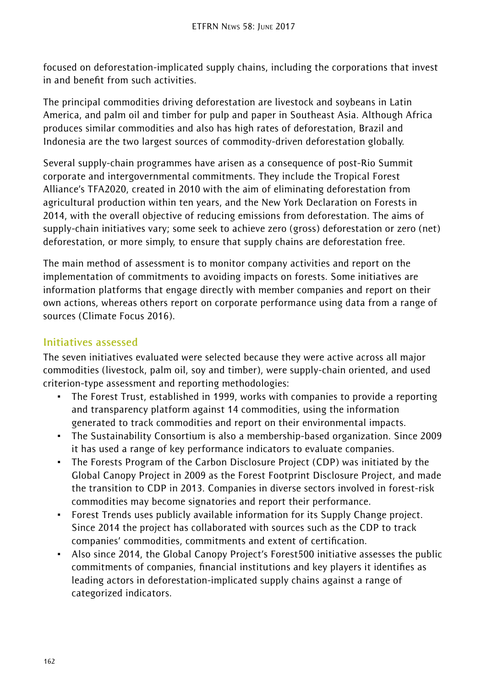focused on deforestation-implicated supply chains, including the corporations that invest in and benefit from such activities.

The principal commodities driving deforestation are livestock and soybeans in Latin America, and palm oil and timber for pulp and paper in Southeast Asia. Although Africa produces similar commodities and also has high rates of deforestation, Brazil and Indonesia are the two largest sources of commodity-driven deforestation globally.

Several supply-chain programmes have arisen as a consequence of post-Rio Summit corporate and intergovernmental commitments. They include the Tropical Forest Alliance's TFA2020, created in 2010 with the aim of eliminating deforestation from agricultural production within ten years, and the New York Declaration on Forests in 2014, with the overall objective of reducing emissions from deforestation. The aims of supply-chain initiatives vary; some seek to achieve zero (gross) deforestation or zero (net) deforestation, or more simply, to ensure that supply chains are deforestation free.

The main method of assessment is to monitor company activities and report on the implementation of commitments to avoiding impacts on forests. Some initiatives are information platforms that engage directly with member companies and report on their own actions, whereas others report on corporate performance using data from a range of sources (Climate Focus 2016).

## **Initiatives assessed**

The seven initiatives evaluated were selected because they were active across all major commodities (livestock, palm oil, soy and timber), were supply-chain oriented, and used criterion-type assessment and reporting methodologies:

- The Forest Trust, established in 1999, works with companies to provide a reporting and transparency platform against 14 commodities, using the information generated to track commodities and report on their environmental impacts.
- ~ The Sustainability Consortium is also a membership-based organization. Since 2009 it has used a range of key performance indicators to evaluate companies.
- ~ The Forests Program of the Carbon Disclosure Project (CDP) was initiated by the Global Canopy Project in 2009 as the Forest Footprint Disclosure Project, and made the transition to CDP in 2013. Companies in diverse sectors involved in forest-risk commodities may become signatories and report their performance.
- ~ Forest Trends uses publicly available information for its Supply Change project. Since 2014 the project has collaborated with sources such as the CDP to track companies' commodities, commitments and extent of certification.
- Also since 2014, the Global Canopy Project's Forest500 initiative assesses the public commitments of companies, financial institutions and key players it identifies as leading actors in deforestation-implicated supply chains against a range of categorized indicators.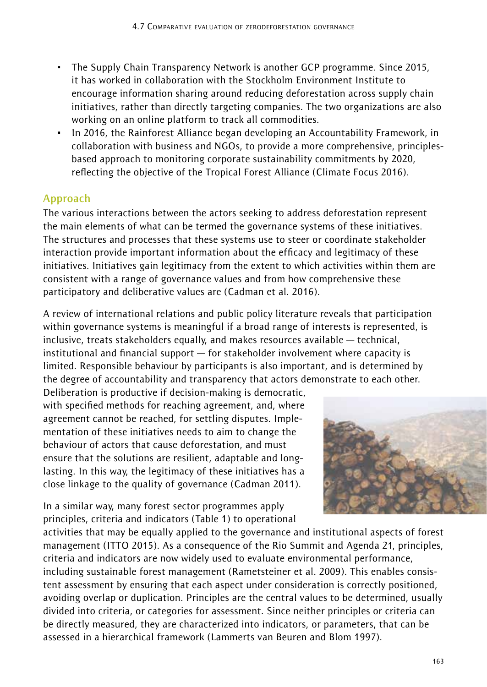- ~ The Supply Chain Transparency Network is another GCP programme. Since 2015, it has worked in collaboration with the Stockholm Environment Institute to encourage information sharing around reducing deforestation across supply chain initiatives, rather than directly targeting companies. The two organizations are also working on an online platform to track all commodities.
- ~ In 2016, the Rainforest Alliance began developing an Accountability Framework, in collaboration with business and NGOs, to provide a more comprehensive, principlesbased approach to monitoring corporate sustainability commitments by 2020, reflecting the objective of the Tropical Forest Alliance (Climate Focus 2016).

## **Approach**

The various interactions between the actors seeking to address deforestation represent the main elements of what can be termed the governance systems of these initiatives. The structures and processes that these systems use to steer or coordinate stakeholder interaction provide important information about the efficacy and legitimacy of these initiatives. Initiatives gain legitimacy from the extent to which activities within them are consistent with a range of governance values and from how comprehensive these participatory and deliberative values are (Cadman et al. 2016).

A review of international relations and public policy literature reveals that participation within governance systems is meaningful if a broad range of interests is represented, is inclusive, treats stakeholders equally, and makes resources available — technical, institutional and financial support — for stakeholder involvement where capacity is limited. Responsible behaviour by participants is also important, and is determined by the degree of accountability and transparency that actors demonstrate to each other.

Deliberation is productive if decision-making is democratic, with specified methods for reaching agreement, and, where agreement cannot be reached, for settling disputes. Implementation of these initiatives needs to aim to change the behaviour of actors that cause deforestation, and must ensure that the solutions are resilient, adaptable and longlasting. In this way, the legitimacy of these initiatives has a close linkage to the quality of governance (Cadman 2011).

In a similar way, many forest sector programmes apply principles, criteria and indicators (Table 1) to operational



activities that may be equally applied to the governance and institutional aspects of forest management (ITTO 2015). As a consequence of the Rio Summit and Agenda 21, principles, criteria and indicators are now widely used to evaluate environmental performance, including sustainable forest management (Rametsteiner et al. 2009). This enables consistent assessment by ensuring that each aspect under consideration is correctly positioned, avoiding overlap or duplication. Principles are the central values to be determined, usually divided into criteria, or categories for assessment. Since neither principles or criteria can be directly measured, they are characterized into indicators, or parameters, that can be assessed in a hierarchical framework (Lammerts van Beuren and Blom 1997).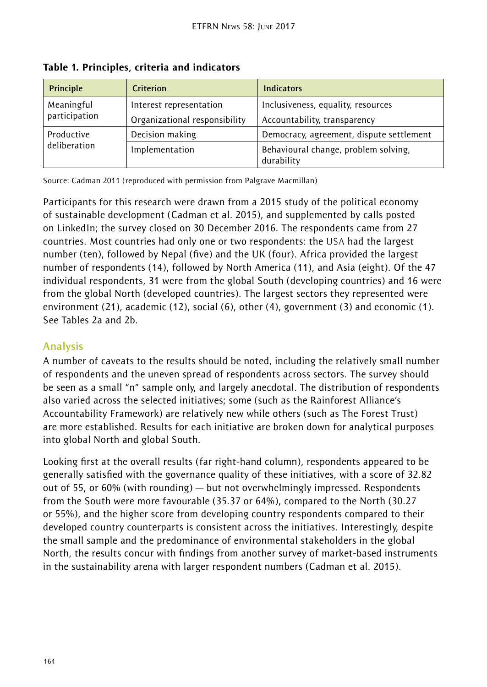| Principle     | Criterion                     | <b>Indicators</b>                                  |  |  |
|---------------|-------------------------------|----------------------------------------------------|--|--|
| Meaningful    | Interest representation       | Inclusiveness, equality, resources                 |  |  |
| participation | Organizational responsibility | Accountability, transparency                       |  |  |
| Productive    | Decision making               | Democracy, agreement, dispute settlement           |  |  |
| deliberation  | Implementation                | Behavioural change, problem solving,<br>durability |  |  |

Table 1. Principles, criteria and indicators

Source: Cadman 2011 (reproduced with permission from Palgrave Macmillan)

Participants for this research were drawn from a 2015 study of the political economy of sustainable development (Cadman et al. 2015), and supplemented by calls posted on LinkedIn; the survey closed on 30 December 2016. The respondents came from 27 countries. Most countries had only one or two respondents: the USA had the largest number (ten), followed by Nepal (five) and the UK (four). Africa provided the largest number of respondents (14), followed by North America (11), and Asia (eight). Of the 47 individual respondents, 31 were from the global South (developing countries) and 16 were from the global North (developed countries). The largest sectors they represented were environment (21), academic (12), social (6), other (4), government (3) and economic (1). See Tables 2a and 2b.

## **Analysis**

A number of caveats to the results should be noted, including the relatively small number of respondents and the uneven spread of respondents across sectors. The survey should be seen as a small "n" sample only, and largely anecdotal. The distribution of respondents also varied across the selected initiatives; some (such as the Rainforest Alliance's Accountability Framework) are relatively new while others (such as The Forest Trust) are more established. Results for each initiative are broken down for analytical purposes into global North and global South.

Looking first at the overall results (far right-hand column), respondents appeared to be generally satisfied with the governance quality of these initiatives, with a score of 32.82 out of 55, or 60% (with rounding) — but not overwhelmingly impressed. Respondents from the South were more favourable (35.37 or 64%), compared to the North (30.27 or 55%), and the higher score from developing country respondents compared to their developed country counterparts is consistent across the initiatives. Interestingly, despite the small sample and the predominance of environmental stakeholders in the global North, the results concur with findings from another survey of market-based instruments in the sustainability arena with larger respondent numbers (Cadman et al. 2015).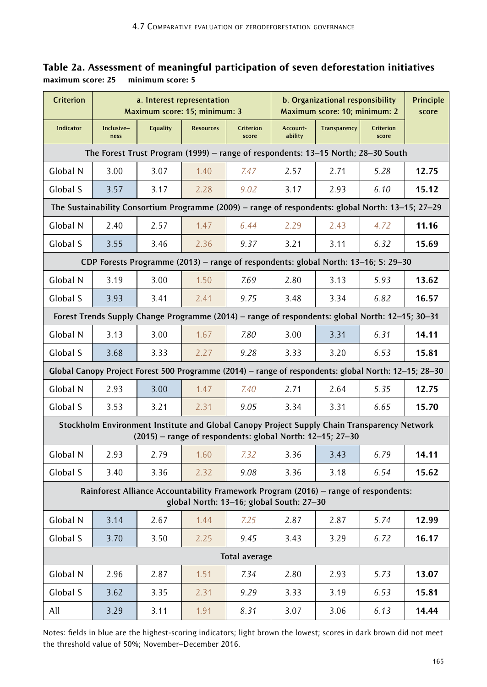|                                    | Table 2a. Assessment of meaningful participation of seven deforestation initiatives |
|------------------------------------|-------------------------------------------------------------------------------------|
| maximum score: 25 minimum score: 5 |                                                                                     |

| <b>Criterion</b>                                                                                                                                           | a. Interest representation<br>Maximum score: 15; minimum: 3                        |                 |                  |                    | b. Organizational responsibility<br>Maximum score: 10; minimum: 2 | Principle<br>score                                                                                   |                    |       |  |
|------------------------------------------------------------------------------------------------------------------------------------------------------------|------------------------------------------------------------------------------------|-----------------|------------------|--------------------|-------------------------------------------------------------------|------------------------------------------------------------------------------------------------------|--------------------|-------|--|
| <b>Indicator</b>                                                                                                                                           | Inclusive-<br>ness                                                                 | <b>Equality</b> | <b>Resources</b> | Criterion<br>score | Account-<br>ability                                               | Transparency                                                                                         | Criterion<br>score |       |  |
| The Forest Trust Program (1999) – range of respondents: 13–15 North; 28–30 South                                                                           |                                                                                    |                 |                  |                    |                                                                   |                                                                                                      |                    |       |  |
| Global N                                                                                                                                                   | 3.00                                                                               | 3.07            | 1.40             | 7.47               | 2.57                                                              | 2.71                                                                                                 | 5.28               | 12.75 |  |
| Global S                                                                                                                                                   | 3.57                                                                               | 3.17            | 2.28             | 9.02               | 3.17                                                              | 2.93                                                                                                 | 6.10               | 15.12 |  |
| The Sustainability Consortium Programme (2009) - range of respondents: global North: 13-15; 27-29                                                          |                                                                                    |                 |                  |                    |                                                                   |                                                                                                      |                    |       |  |
| Global N                                                                                                                                                   | 2.40                                                                               | 2.57            | 1.47             | 6.44               | 2.29                                                              | 2.43                                                                                                 | 4.72               | 11.16 |  |
| Global S                                                                                                                                                   | 3.55                                                                               | 3.46            | 2.36             | 9.37               | 3.21                                                              | 3.11                                                                                                 | 6.32               | 15.69 |  |
|                                                                                                                                                            | CDP Forests Programme (2013) - range of respondents: global North: 13-16; S: 29-30 |                 |                  |                    |                                                                   |                                                                                                      |                    |       |  |
| Global N                                                                                                                                                   | 3.19                                                                               | 3.00            | 1.50             | 7.69               | 2.80                                                              | 3.13                                                                                                 | 5.93               | 13.62 |  |
| Global S                                                                                                                                                   | 3.93                                                                               | 3.41            | 2.41             | 9.75               | 3.48                                                              | 3.34                                                                                                 | 6.82               | 16.57 |  |
| Forest Trends Supply Change Programme (2014) - range of respondents: global North: 12-15; 30-31                                                            |                                                                                    |                 |                  |                    |                                                                   |                                                                                                      |                    |       |  |
| Global N                                                                                                                                                   | 3.13                                                                               | 3.00            | 1.67             | 7.80               | 3.00                                                              | 3.31                                                                                                 | 6.31               | 14.11 |  |
| Global S                                                                                                                                                   | 3.68                                                                               | 3.33            | 2.27             | 9.28               | 3.33                                                              | 3.20                                                                                                 | 6.53               | 15.81 |  |
|                                                                                                                                                            |                                                                                    |                 |                  |                    |                                                                   | Global Canopy Project Forest 500 Programme (2014) - range of respondents: global North: 12-15; 28-30 |                    |       |  |
| Global N                                                                                                                                                   | 2.93                                                                               | 3.00            | 1.47             | 7.40               | 2.71                                                              | 2.64                                                                                                 | 5.35               | 12.75 |  |
| Global S                                                                                                                                                   | 3.53                                                                               | 3.21            | 2.31             | 9.05               | 3.34                                                              | 3.31                                                                                                 | 6.65               | 15.70 |  |
| Stockholm Environment Institute and Global Canopy Project Supply Chain Transparency Network<br>$(2015)$ – range of respondents: global North: 12–15; 27–30 |                                                                                    |                 |                  |                    |                                                                   |                                                                                                      |                    |       |  |
| Global N                                                                                                                                                   | 2.93                                                                               | 2.79            | 1.60             | 7.32               | 3.36                                                              | 3.43                                                                                                 | 6.79               | 14.11 |  |
| Global S                                                                                                                                                   | 3.40                                                                               | 3.36            | 2.32             | 9.08               | 3.36                                                              | 3.18                                                                                                 | 6.54               | 15.62 |  |
| Rainforest Alliance Accountability Framework Program (2016) - range of respondents:<br>global North: 13-16; global South: 27-30                            |                                                                                    |                 |                  |                    |                                                                   |                                                                                                      |                    |       |  |
| Global N                                                                                                                                                   | 3.14                                                                               | 2.67            | 1.44             | 7.25               | 2.87                                                              | 2.87                                                                                                 | 5.74               | 12.99 |  |
| Global S                                                                                                                                                   | 3.70                                                                               | 3.50            | 2.25             | 9.45               | 3.43                                                              | 3.29                                                                                                 | 6.72               | 16.17 |  |
| Total average                                                                                                                                              |                                                                                    |                 |                  |                    |                                                                   |                                                                                                      |                    |       |  |
| Global N                                                                                                                                                   | 2.96                                                                               | 2.87            | 1.51             | 7.34               | 2.80                                                              | 2.93                                                                                                 | 5.73               | 13.07 |  |
| Global S                                                                                                                                                   | 3.62                                                                               | 3.35            | 2.31             | 9.29               | 3.33                                                              | 3.19                                                                                                 | 6.53               | 15.81 |  |
| All                                                                                                                                                        | 3.29                                                                               | 3.11            | 1.91             | 8.31               | 3.07                                                              | 3.06                                                                                                 | 6.13               | 14.44 |  |

Notes: fields in blue are the highest-scoring indicators; light brown the lowest; scores in dark brown did not meet the threshold value of 50%; November–December 2016.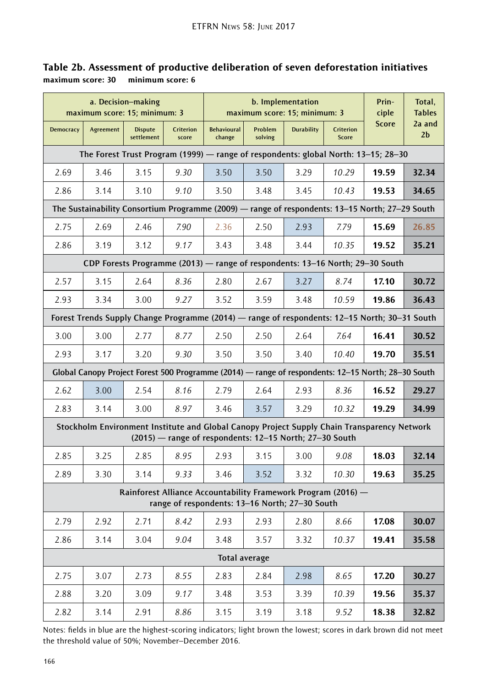| a. Decision-making<br>maximum score: 15; minimum: 3                                                                                                    |           |                              |                    | b. Implementation<br>maximum score: 15; minimum: 3                                                 |                    |                   |                           | Prin-<br>ciple | Total,<br><b>Tables</b>  |
|--------------------------------------------------------------------------------------------------------------------------------------------------------|-----------|------------------------------|--------------------|----------------------------------------------------------------------------------------------------|--------------------|-------------------|---------------------------|----------------|--------------------------|
| <b>Democracy</b>                                                                                                                                       | Agreement | <b>Dispute</b><br>settlement | Criterion<br>score | <b>Behavioural</b><br>change                                                                       | Problem<br>solving | <b>Durability</b> | <b>Criterion</b><br>Score | <b>Score</b>   | 2a and<br>2 <sub>b</sub> |
| The Forest Trust Program (1999) — range of respondents: global North: 13–15; 28–30                                                                     |           |                              |                    |                                                                                                    |                    |                   |                           |                |                          |
| 2.69                                                                                                                                                   | 3.46      | 3.15                         | 9.30               | 3.50                                                                                               | 3.50               | 3.29              | 10.29                     | 19.59          | 32.34                    |
| 2.86                                                                                                                                                   | 3.14      | 3.10                         | 9.10               | 3.50                                                                                               | 3.48               | 3.45              | 10.43                     | 19.53          | 34.65                    |
| The Sustainability Consortium Programme (2009) — range of respondents: 13-15 North; 27-29 South                                                        |           |                              |                    |                                                                                                    |                    |                   |                           |                |                          |
| 2.75                                                                                                                                                   | 2.69      | 2.46                         | 7.90               | 2.36                                                                                               | 2.50               | 2.93              | 7.79                      | 15.69          | 26.85                    |
| 2.86                                                                                                                                                   | 3.19      | 3.12                         | 9.17               | 3.43                                                                                               | 3.48               | 3.44              | 10.35                     | 19.52          | 35.21                    |
|                                                                                                                                                        |           |                              |                    | CDP Forests Programme (2013) — range of respondents: 13–16 North; 29–30 South                      |                    |                   |                           |                |                          |
| 2.57                                                                                                                                                   | 3.15      | 2.64                         | 8.36               | 2.80                                                                                               | 2.67               | 3.27              | 8.74                      | 17.10          | 30.72                    |
| 2.93                                                                                                                                                   | 3.34      | 3.00                         | 9.27               | 3.52                                                                                               | 3.59               | 3.48              | 10.59                     | 19.86          | 36.43                    |
| Forest Trends Supply Change Programme (2014) — range of respondents: 12–15 North; 30–31 South                                                          |           |                              |                    |                                                                                                    |                    |                   |                           |                |                          |
| 3.00                                                                                                                                                   | 3.00      | 2.77                         | 8.77               | 2.50                                                                                               | 2.50               | 2.64              | 7.64                      | 16.41          | 30.52                    |
| 2.93                                                                                                                                                   | 3.17      | 3.20                         | 9.30               | 3.50                                                                                               | 3.50               | 3.40              | 10.40                     | 19.70          | 35.51                    |
|                                                                                                                                                        |           |                              |                    | Global Canopy Project Forest 500 Programme (2014) — range of respondents: 12–15 North; 28–30 South |                    |                   |                           |                |                          |
| 2.62                                                                                                                                                   | 3.00      | 2.54                         | 8.16               | 2.79                                                                                               | 2.64               | 2.93              | 8.36                      | 16.52          | 29.27                    |
| 2.83                                                                                                                                                   | 3.14      | 3.00                         | 8.97               | 3.46                                                                                               | 3.57               | 3.29              | 10.32                     | 19.29          | 34.99                    |
| Stockholm Environment Institute and Global Canopy Project Supply Chain Transparency Network<br>(2015) - range of respondents: 12-15 North; 27-30 South |           |                              |                    |                                                                                                    |                    |                   |                           |                |                          |
| 2.85                                                                                                                                                   | 3.25      | 2.85                         | 8.95               | 2.93                                                                                               | 3.15               | 3.00              | 9.08                      | 18.03          | 32.14                    |
| 2.89                                                                                                                                                   | 3.30      | 3.14                         | 9.33               | 3.46                                                                                               | 3.52               | 3.32              | 10.30                     | 19.63          | 35.25                    |
| Rainforest Alliance Accountability Framework Program (2016) -<br>range of respondents: 13-16 North; 27-30 South                                        |           |                              |                    |                                                                                                    |                    |                   |                           |                |                          |
| 2.79                                                                                                                                                   | 2.92      | 2.71                         | 8.42               | 2.93                                                                                               | 2.93               | 2.80              | 8.66                      | 17.08          | 30.07                    |
| 2.86                                                                                                                                                   | 3.14      | 3.04                         | 9.04               | 3.48                                                                                               | 3.57               | 3.32              | 10.37                     | 19.41          | 35.58                    |
| Total average                                                                                                                                          |           |                              |                    |                                                                                                    |                    |                   |                           |                |                          |
| 2.75                                                                                                                                                   | 3.07      | 2.73                         | 8.55               | 2.83                                                                                               | 2.84               | 2.98              | 8.65                      | 17.20          | 30.27                    |
| 2.88                                                                                                                                                   | 3.20      | 3.09                         | 9.17               | 3.48                                                                                               | 3.53               | 3.39              | 10.39                     | 19.56          | 35.37                    |
| 2.82                                                                                                                                                   | 3.14      | 2.91                         | 8.86               | 3.15                                                                                               | 3.19               | 3.18              | 9.52                      | 18.38          | 32.82                    |

### Table 2b. Assessment of productive deliberation of seven deforestation initiatives maximum score: 30 minimum score: 6

Notes: fields in blue are the highest-scoring indicators; light brown the lowest; scores in dark brown did not meet the threshold value of 50%; November–December 2016.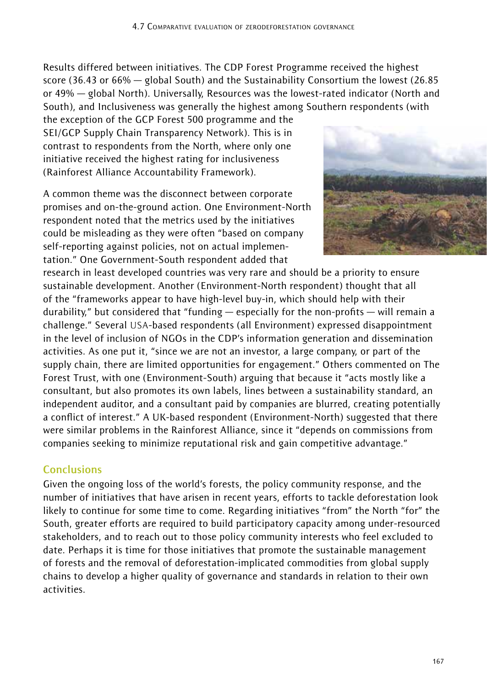Results differed between initiatives. The CDP Forest Programme received the highest score (36.43 or 66% — global South) and the Sustainability Consortium the lowest (26.85 or 49% — global North). Universally, Resources was the lowest-rated indicator (North and South), and Inclusiveness was generally the highest among Southern respondents (with

the exception of the GCP Forest 500 programme and the SEI/GCP Supply Chain Transparency Network). This is in contrast to respondents from the North, where only one initiative received the highest rating for inclusiveness (Rainforest Alliance Accountability Framework).

A common theme was the disconnect between corporate promises and on-the-ground action. One Environment-North respondent noted that the metrics used by the initiatives could be misleading as they were often "based on company self-reporting against policies, not on actual implementation." One Government-South respondent added that



research in least developed countries was very rare and should be a priority to ensure sustainable development. Another (Environment-North respondent) thought that all of the "frameworks appear to have high-level buy-in, which should help with their durability," but considered that "funding — especially for the non-profits — will remain a challenge." Several USA-based respondents (all Environment) expressed disappointment in the level of inclusion of NGOs in the CDP's information generation and dissemination activities. As one put it, "since we are not an investor, a large company, or part of the supply chain, there are limited opportunities for engagement." Others commented on The Forest Trust, with one (Environment-South) arguing that because it "acts mostly like a consultant, but also promotes its own labels, lines between a sustainability standard, an independent auditor, and a consultant paid by companies are blurred, creating potentially a conflict of interest." A UK-based respondent (Environment-North) suggested that there were similar problems in the Rainforest Alliance, since it "depends on commissions from companies seeking to minimize reputational risk and gain competitive advantage."

## **Conclusions**

Given the ongoing loss of the world's forests, the policy community response, and the number of initiatives that have arisen in recent years, efforts to tackle deforestation look likely to continue for some time to come. Regarding initiatives "from" the North "for" the South, greater efforts are required to build participatory capacity among under-resourced stakeholders, and to reach out to those policy community interests who feel excluded to date. Perhaps it is time for those initiatives that promote the sustainable management of forests and the removal of deforestation-implicated commodities from global supply chains to develop a higher quality of governance and standards in relation to their own activities.